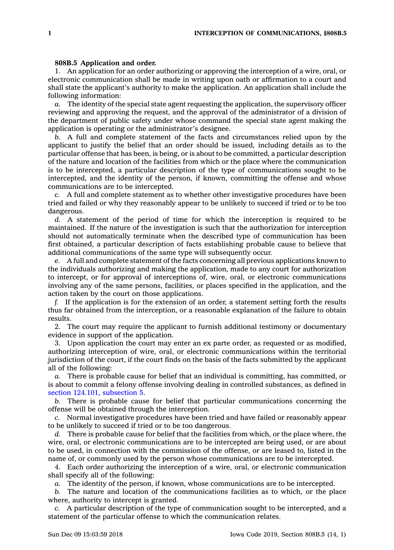## **808B.5 Application and order.**

1. An application for an order authorizing or approving the interception of <sup>a</sup> wire, oral, or electronic communication shall be made in writing upon oath or affirmation to <sup>a</sup> court and shall state the applicant's authority to make the application. An application shall include the following information:

*a.* The identity of the special state agent requesting the application, the supervisory officer reviewing and approving the request, and the approval of the administrator of <sup>a</sup> division of the department of public safety under whose command the special state agent making the application is operating or the administrator's designee.

*b.* A full and complete statement of the facts and circumstances relied upon by the applicant to justify the belief that an order should be issued, including details as to the particular offense that has been, is being, or is about to be committed, <sup>a</sup> particular description of the nature and location of the facilities from which or the place where the communication is to be intercepted, <sup>a</sup> particular description of the type of communications sought to be intercepted, and the identity of the person, if known, committing the offense and whose communications are to be intercepted.

*c.* A full and complete statement as to whether other investigative procedures have been tried and failed or why they reasonably appear to be unlikely to succeed if tried or to be too dangerous.

*d.* A statement of the period of time for which the interception is required to be maintained. If the nature of the investigation is such that the authorization for interception should not automatically terminate when the described type of communication has been first obtained, <sup>a</sup> particular description of facts establishing probable cause to believe that additional communications of the same type will subsequently occur.

*e.* A full and complete statement of the facts concerning all previous applications known to the individuals authorizing and making the application, made to any court for authorization to intercept, or for approval of interceptions of, wire, oral, or electronic communications involving any of the same persons, facilities, or places specified in the application, and the action taken by the court on those applications.

*f.* If the application is for the extension of an order, <sup>a</sup> statement setting forth the results thus far obtained from the interception, or <sup>a</sup> reasonable explanation of the failure to obtain results.

2. The court may require the applicant to furnish additional testimony or documentary evidence in support of the application.

3. Upon application the court may enter an ex parte order, as requested or as modified, authorizing interception of wire, oral, or electronic communications within the territorial jurisdiction of the court, if the court finds on the basis of the facts submitted by the applicant all of the following:

*a.* There is probable cause for belief that an individual is committing, has committed, or is about to commit <sup>a</sup> felony offense involving dealing in controlled substances, as defined in section 124.101, [subsection](https://www.legis.iowa.gov/docs/code/124.101.pdf) 5.

*b.* There is probable cause for belief that particular communications concerning the offense will be obtained through the interception.

*c.* Normal investigative procedures have been tried and have failed or reasonably appear to be unlikely to succeed if tried or to be too dangerous.

*d.* There is probable cause for belief that the facilities from which, or the place where, the wire, oral, or electronic communications are to be intercepted are being used, or are about to be used, in connection with the commission of the offense, or are leased to, listed in the name of, or commonly used by the person whose communications are to be intercepted.

4. Each order authorizing the interception of <sup>a</sup> wire, oral, or electronic communication shall specify all of the following:

*a.* The identity of the person, if known, whose communications are to be intercepted.

*b.* The nature and location of the communications facilities as to which, or the place where, authority to intercept is granted.

*c.* A particular description of the type of communication sought to be intercepted, and <sup>a</sup> statement of the particular offense to which the communication relates.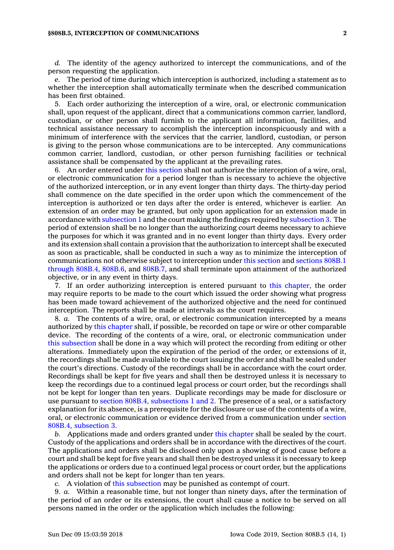## **§808B.5, INTERCEPTION OF COMMUNICATIONS 2**

*d.* The identity of the agency authorized to intercept the communications, and of the person requesting the application.

*e.* The period of time during which interception is authorized, including <sup>a</sup> statement as to whether the interception shall automatically terminate when the described communication has been first obtained.

5. Each order authorizing the interception of <sup>a</sup> wire, oral, or electronic communication shall, upon request of the applicant, direct that <sup>a</sup> communications common carrier, landlord, custodian, or other person shall furnish to the applicant all information, facilities, and technical assistance necessary to accomplish the interception inconspicuously and with <sup>a</sup> minimum of interference with the services that the carrier, landlord, custodian, or person is giving to the person whose communications are to be intercepted. Any communications common carrier, landlord, custodian, or other person furnishing facilities or technical assistance shall be compensated by the applicant at the prevailing rates.

6. An order entered under this [section](https://www.legis.iowa.gov/docs/code/808B.5.pdf) shall not authorize the interception of <sup>a</sup> wire, oral, or electronic communication for <sup>a</sup> period longer than is necessary to achieve the objective of the authorized interception, or in any event longer than thirty days. The thirty-day period shall commence on the date specified in the order upon which the commencement of the interception is authorized or ten days after the order is entered, whichever is earlier. An extension of an order may be granted, but only upon application for an extension made in accordance with [subsection](https://www.legis.iowa.gov/docs/code/808B.5.pdf) 1 and the court making the findings required by [subsection](https://www.legis.iowa.gov/docs/code/808B.5.pdf) 3. The period of extension shall be no longer than the authorizing court deems necessary to achieve the purposes for which it was granted and in no event longer than thirty days. Every order and its extension shall contain <sup>a</sup> provision that the authorization to intercept shall be executed as soon as practicable, shall be conducted in such <sup>a</sup> way as to minimize the interception of communications not otherwise subject to interception under this [section](https://www.legis.iowa.gov/docs/code/808B.5.pdf) and [sections](https://www.legis.iowa.gov/docs/code/808B.1.pdf) 808B.1 [through](https://www.legis.iowa.gov/docs/code/808B.1.pdf) 808B.4, [808B.6](https://www.legis.iowa.gov/docs/code/808B.6.pdf), and [808B.7](https://www.legis.iowa.gov/docs/code/808B.7.pdf), and shall terminate upon attainment of the authorized objective, or in any event in thirty days.

7. If an order authorizing interception is entered pursuant to this [chapter](https://www.legis.iowa.gov/docs/code//808B.pdf), the order may require reports to be made to the court which issued the order showing what progress has been made toward achievement of the authorized objective and the need for continued interception. The reports shall be made at intervals as the court requires.

8. *a.* The contents of <sup>a</sup> wire, oral, or electronic communication intercepted by <sup>a</sup> means authorized by this [chapter](https://www.legis.iowa.gov/docs/code//808B.pdf) shall, if possible, be recorded on tape or wire or other comparable device. The recording of the contents of <sup>a</sup> wire, oral, or electronic communication under this [subsection](https://www.legis.iowa.gov/docs/code/808B.5.pdf) shall be done in <sup>a</sup> way which will protect the recording from editing or other alterations. Immediately upon the expiration of the period of the order, or extensions of it, the recordings shall be made available to the court issuing the order and shall be sealed under the court's directions. Custody of the recordings shall be in accordance with the court order. Recordings shall be kept for five years and shall then be destroyed unless it is necessary to keep the recordings due to <sup>a</sup> continued legal process or court order, but the recordings shall not be kept for longer than ten years. Duplicate recordings may be made for disclosure or use pursuant to section 808B.4, [subsections](https://www.legis.iowa.gov/docs/code/808B.4.pdf) 1 and 2. The presence of <sup>a</sup> seal, or <sup>a</sup> satisfactory explanation for its absence, is <sup>a</sup> prerequisite for the disclosure or use of the contents of <sup>a</sup> wire, oral, or electronic communication or evidence derived from <sup>a</sup> communication under [section](https://www.legis.iowa.gov/docs/code/808B.4.pdf) 808B.4, [subsection](https://www.legis.iowa.gov/docs/code/808B.4.pdf) 3.

*b.* Applications made and orders granted under this [chapter](https://www.legis.iowa.gov/docs/code//808B.pdf) shall be sealed by the court. Custody of the applications and orders shall be in accordance with the directives of the court. The applications and orders shall be disclosed only upon <sup>a</sup> showing of good cause before <sup>a</sup> court and shall be kept for five years and shall then be destroyed unless it is necessary to keep the applications or orders due to <sup>a</sup> continued legal process or court order, but the applications and orders shall not be kept for longer than ten years.

*c.* A violation of this [subsection](https://www.legis.iowa.gov/docs/code/808B.5.pdf) may be punished as contempt of court.

9. *a.* Within <sup>a</sup> reasonable time, but not longer than ninety days, after the termination of the period of an order or its extensions, the court shall cause <sup>a</sup> notice to be served on all persons named in the order or the application which includes the following: